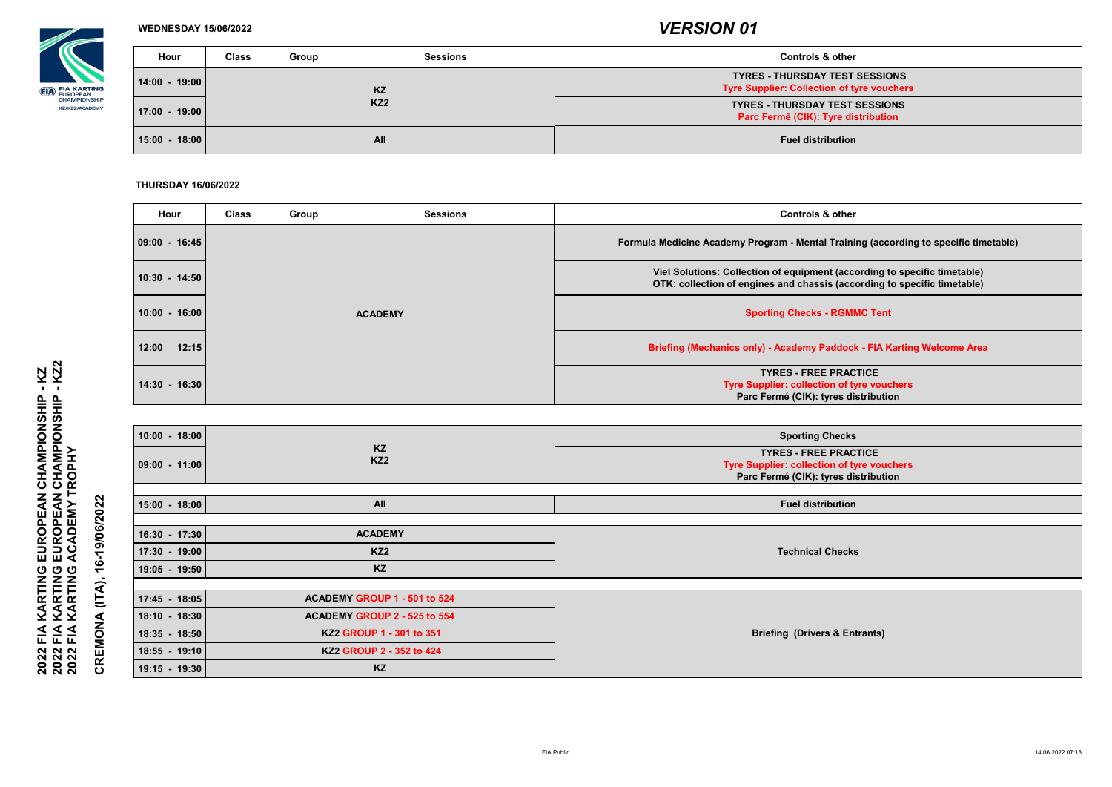

### **WEDNESDAY 15/06/2022**

### **THURSDAY 16/06/2022**

**CREMONA (ITA), 16-19/06/2022 CREMONA (ITA), 16-19/06/2022**

| <b>Hour</b>       | <b>Class</b> | <b>Group</b> | <b>Sessions</b> | <b>Controls &amp; other</b>                                                                |
|-------------------|--------------|--------------|-----------------|--------------------------------------------------------------------------------------------|
| $14:00 - 19:00$   |              |              | KZ              | <b>TYRES - THURSDAY TEST SESSIONS</b><br><b>Tyre Supplier: Collection of tyre vouchers</b> |
| $ 17:00 - 19:00 $ |              |              | KZ <sub>2</sub> | <b>TYRES - THURSDAY TEST SESSIONS</b><br>Parc Fermê (CIK): Tyre distribution               |
| $15:00 - 18:00$   |              |              | <b>All</b>      | <b>Fuel distribution</b>                                                                   |

| <b>Hour</b>     | <b>Class</b> | Group | <b>Sessions</b> | <b>Controls &amp; other</b>                                                                                                                           |
|-----------------|--------------|-------|-----------------|-------------------------------------------------------------------------------------------------------------------------------------------------------|
| 09:00 - 16:45   |              |       |                 | Formula Medicine Academy Program - Mental Training (according to specific timetable)                                                                  |
| $10:30 - 14:50$ |              |       |                 | Viel Solutions: Collection of equipment (according to specific timetable)<br>OTK: collection of engines and chassis (according to specific timetable) |
| $10:00 - 16:00$ |              |       | <b>ACADEMY</b>  | <b>Sporting Checks - RGMMC Tent</b>                                                                                                                   |
| 12:00<br>12:15  |              |       |                 | <b>Briefing (Mechanics only) - Academy Paddock - FIA Karting Welcome Area</b>                                                                         |
| $14:30 - 16:30$ |              |       |                 | <b>TYRES - FREE PRACTICE</b><br><b>Tyre Supplier: collection of tyre vouchers</b><br>Parc Fermé (CIK): tyres distribution                             |

| $10:00 - 18:00$<br>$09:00 - 11:00$                                                    | <b>KZ</b><br>KZ <sub>2</sub>                                                                                                      | <b>Sporting Checks</b><br><b>TYRES - FREE PRACTICE</b><br>Tyre Supplier: collection of tyre vouchers<br>Parc Fermé (CIK): tyres distribution |
|---------------------------------------------------------------------------------------|-----------------------------------------------------------------------------------------------------------------------------------|----------------------------------------------------------------------------------------------------------------------------------------------|
| $15:00 - 18:00$                                                                       | <b>All</b>                                                                                                                        | <b>Fuel distribution</b>                                                                                                                     |
| 16:30 - 17:30<br>17:30 - 19:00<br>$19:05 - 19:50$                                     | <b>ACADEMY</b><br>KZ <sub>2</sub><br>KZ                                                                                           | <b>Technical Checks</b>                                                                                                                      |
| $17:45 - 18:05$<br>18:10 - 18:30<br>18:35 - 18:50<br>18:55 - 19:10<br>$19:15 - 19:30$ | ACADEMY GROUP 1 - 501 to 524<br>ACADEMY GROUP 2 - 525 to 554<br>KZ2 GROUP 1 - 301 to 351<br>KZ2 GROUP 2 - 352 to 424<br><b>KZ</b> | <b>Briefing (Drivers &amp; Entrants)</b>                                                                                                     |

**2022 FIA KARTING EUROPEAN CHAMPIONSHIP - KZ2 2022 FIA KARTING EUROPEAN CHAMPIONSHIP - KZ 2022 FIA KARTING EUROPEAN CHAMPIONSHIP<br>2022 FIA KARTING EUROPEAN CHAMPIONSHIP<br>2022 FIA KARTING ACADEMY TROPHY 2022 FIA KARTING ACADEMY TROPHY**

- KZ<br>- KZ2

*VERSION 01*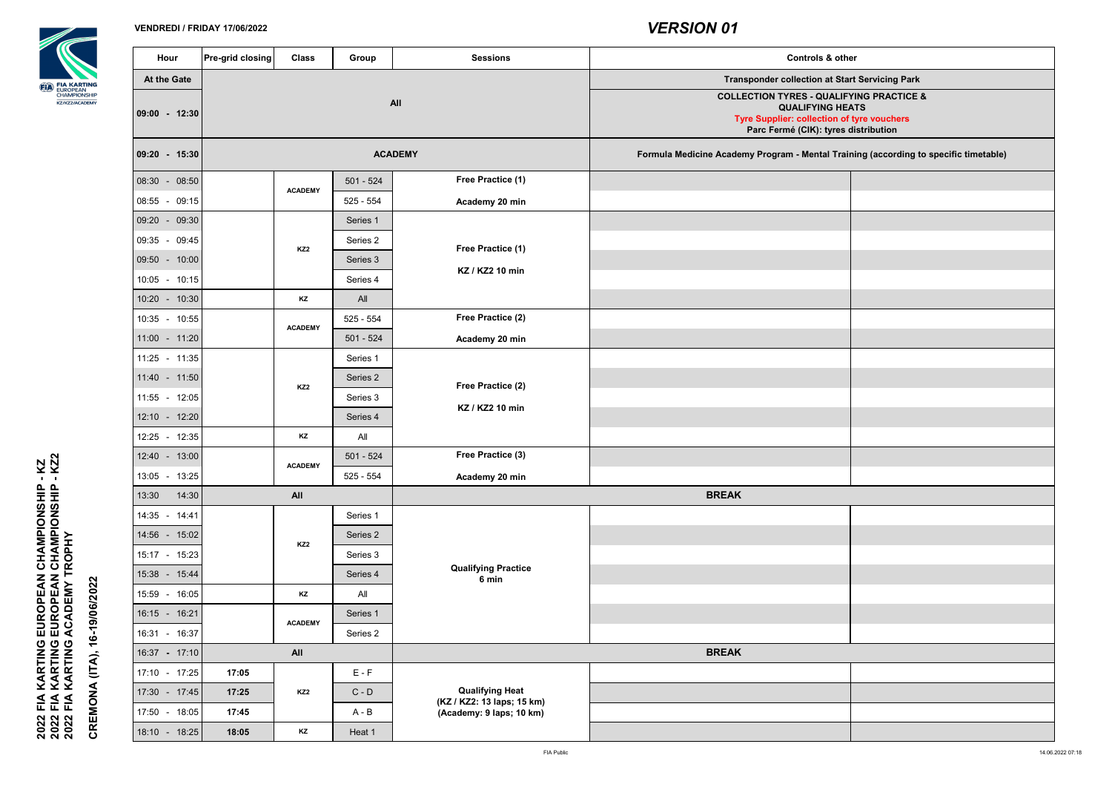2022 FIA KARTING EUROPEAN CHAMPIONSHIP - KZ<br>2022 FIA KARTING EUROPEAN CHAMPIONSHIP - KZ2<br>2022 FIA KARTING ACADEMY TROPHY **2022 FIA KARTING EUROPEAN CHAMPIONSHIP - KZ2 2022 FIA KARTING EUROPEAN CHAMPIONSHIP - KZ 2022 FIA KARTING ACADEMY TROPHY**

| Hour               | Pre-grid closing | <b>Class</b>          | Group       | <b>Sessions</b>                                      |
|--------------------|------------------|-----------------------|-------------|------------------------------------------------------|
| <b>At the Gate</b> |                  |                       |             |                                                      |
| $09:00 - 12:30$    |                  |                       |             | <b>All</b>                                           |
| 09:20 - 15:30      |                  |                       |             | <b>ACADEMY</b>                                       |
| 08:30 - 08:50      |                  | <b>ACADEMY</b>        | $501 - 524$ | <b>Free Practice (1)</b>                             |
| 08:55 - 09:15      |                  |                       | $525 - 554$ | Academy 20 min                                       |
| 09:20 - 09:30      |                  |                       | Series 1    |                                                      |
| 09:35 - 09:45      |                  | KZ <sub>2</sub>       | Series 2    | <b>Free Practice (1)</b>                             |
| 09:50 - 10:00      |                  |                       | Series 3    |                                                      |
| 10:05 - 10:15      |                  |                       | Series 4    | KZ / KZ2 10 min                                      |
| 10:20<br>$-10:30$  |                  | <b>KZ</b>             | All         |                                                      |
| 10:35 - 10:55      |                  | <b>ACADEMY</b>        | $525 - 554$ | <b>Free Practice (2)</b>                             |
| $11:00 - 11:20$    |                  |                       | $501 - 524$ | Academy 20 min                                       |
| $11:25 - 11:35$    |                  |                       | Series 1    |                                                      |
| 11:40 - 11:50      |                  |                       | Series 2    | <b>Free Practice (2)</b>                             |
| 11:55 - 12:05      |                  |                       | Series 3    |                                                      |
| $12:10 - 12:20$    |                  | KZ <sub>2</sub><br>KZ | Series 4    | KZ / KZ2 10 min                                      |
| 12:25 - 12:35      |                  |                       | All         |                                                      |
| 12:40 - 13:00      |                  | <b>ACADEMY</b>        | $501 - 524$ | <b>Free Practice (3)</b>                             |
| 13:05 - 13:25      |                  |                       | $525 - 554$ | Academy 20 min                                       |
| 13:30<br>14:30     |                  | <b>All</b>            |             |                                                      |
| 14:35 - 14:41      |                  |                       | Series 1    |                                                      |
| 14:56 - 15:02      |                  | KZ <sub>2</sub>       | Series 2    |                                                      |
| 15:17 - 15:23      |                  |                       | Series 3    |                                                      |
| 15:38 - 15:44      |                  |                       | Series 4    | <b>Qualifying Practice</b><br>6 min                  |
| 15:59 - 16:05      |                  | KZ                    | All         |                                                      |
| 16:15 - 16:21      |                  | <b>ACADEMY</b>        | Series 1    |                                                      |
| 16:31 - 16:37      |                  |                       | Series 2    |                                                      |
| 16:37 - 17:10      |                  | <b>All</b>            |             |                                                      |
| 17:10 - 17:25      | 17:05            |                       | $E - F$     |                                                      |
| 17:30 - 17:45      | 17:25            | KZ <sub>2</sub>       | $C - D$     | <b>Qualifying Heat</b><br>(KZ / KZ2: 13 laps; 15 km) |
| 17:50 - 18:05      | 17:45            |                       | $A - B$     | (Academy: 9 laps; 10 km)                             |
| 18:10<br>$-18:25$  | 18:05            | KZ                    | Heat 1      |                                                      |

| <b>Hour</b>       | <b>Pre-grid closing</b> | <b>Class</b>    | <b>Group</b> | <b>Sessions</b>                                        | <b>Controls &amp; other</b>                                                                                                                                                 |  |
|-------------------|-------------------------|-----------------|--------------|--------------------------------------------------------|-----------------------------------------------------------------------------------------------------------------------------------------------------------------------------|--|
| At the Gate       |                         |                 |              |                                                        | <b>Transponder collection at Start Servicing Park</b>                                                                                                                       |  |
| $9:00 - 12:30$    |                         |                 |              | <b>All</b>                                             | <b>COLLECTION TYRES - QUALIFYING PRACTICE &amp;</b><br><b>QUALIFYING HEATS</b><br><b>Tyre Supplier: collection of tyre vouchers</b><br>Parc Fermé (CIK): tyres distribution |  |
| $- 15:30$ - 15:30 |                         |                 |              | <b>ACADEMY</b>                                         | Formula Medicine Academy Program - Mental Training (according to specific timetable)                                                                                        |  |
| $3:30 - 08:50$    |                         | <b>ACADEMY</b>  | $501 - 524$  | <b>Free Practice (1)</b>                               |                                                                                                                                                                             |  |
| $3.55 - 09.15$    |                         |                 | $525 - 554$  | <b>Academy 20 min</b>                                  |                                                                                                                                                                             |  |
| $9:20 - 09:30$    |                         |                 | Series 1     |                                                        |                                                                                                                                                                             |  |
| $9:35 - 09:45$    |                         | KZ <sub>2</sub> | Series 2     | <b>Free Practice (1)</b>                               |                                                                                                                                                                             |  |
| $9:50 - 10:00$    |                         |                 | Series 3     |                                                        |                                                                                                                                                                             |  |
| $0.05 - 10.15$    |                         |                 | Series 4     | KZ / KZ2 10 min                                        |                                                                                                                                                                             |  |
| $0.20 - 10.30$    |                         | <b>KZ</b>       | All          |                                                        |                                                                                                                                                                             |  |
| $0.35 - 10.55$    |                         | <b>ACADEMY</b>  | $525 - 554$  | <b>Free Practice (2)</b>                               |                                                                                                                                                                             |  |
| $1.00 - 11.20$    |                         |                 | $501 - 524$  | <b>Academy 20 min</b>                                  |                                                                                                                                                                             |  |
| $1:25 - 11:35$    |                         |                 | Series 1     |                                                        |                                                                                                                                                                             |  |
| $1:40 - 11:50$    |                         | KZ <sub>2</sub> | Series 2     | <b>Free Practice (2)</b>                               |                                                                                                                                                                             |  |
| $1:55 - 12:05$    |                         |                 | Series 3     |                                                        |                                                                                                                                                                             |  |
| $2:10 - 12:20$    |                         |                 | Series 4     | KZ / KZ2 10 min                                        |                                                                                                                                                                             |  |
| $2:25 - 12:35$    |                         | KZ              | All          |                                                        |                                                                                                                                                                             |  |
| $2.40 - 13.00$    |                         |                 | $501 - 524$  | <b>Free Practice (3)</b>                               |                                                                                                                                                                             |  |
| $8.05 - 13.25$    |                         | <b>ACADEMY</b>  | $525 - 554$  | Academy 20 min                                         |                                                                                                                                                                             |  |
| 3:30<br>14:30     |                         | <b>All</b>      |              |                                                        | <b>BREAK</b>                                                                                                                                                                |  |
| $1.35 - 14.41$    |                         |                 | Series 1     |                                                        |                                                                                                                                                                             |  |
| $1.56 - 15.02$    |                         | KZ <sub>2</sub> | Series 2     |                                                        |                                                                                                                                                                             |  |
| $5:17 - 15:23$    |                         |                 | Series 3     |                                                        |                                                                                                                                                                             |  |
| $5.38$ - 15:44    |                         |                 | Series 4     | <b>Qualifying Practice</b><br>6 min                    |                                                                                                                                                                             |  |
| $5.59 - 16.05$    |                         | <b>KZ</b>       | All          |                                                        |                                                                                                                                                                             |  |
| $6:15 - 16:21$    |                         | <b>ACADEMY</b>  | Series 1     |                                                        |                                                                                                                                                                             |  |
| $6.31 - 16.37$    |                         |                 | Series 2     |                                                        |                                                                                                                                                                             |  |
| $6.37 - 17.10$    |                         | <b>All</b>      |              |                                                        | <b>BREAK</b>                                                                                                                                                                |  |
| $7:10 - 17:25$    | 17:05                   |                 | $E - F$      |                                                        |                                                                                                                                                                             |  |
| $7:30 - 17:45$    | 17:25                   | KZ <sub>2</sub> | $C - D$      | <b>Qualifying Heat</b>                                 |                                                                                                                                                                             |  |
| $7:50 - 18:05$    | 17:45                   |                 | $A - B$      | (KZ / KZ2: 13 laps; 15 km)<br>(Academy: 9 laps; 10 km) |                                                                                                                                                                             |  |
| $3:10 - 18:25$    | 18:05                   | KZ              | Heat 1       |                                                        |                                                                                                                                                                             |  |

**CREMONA (ITA), 16-19/06/2022**

CREMONA (ITA), 16-19/06/2022

## **VENDREDI / FRIDAY 17/06/2022** *VERSION 01*

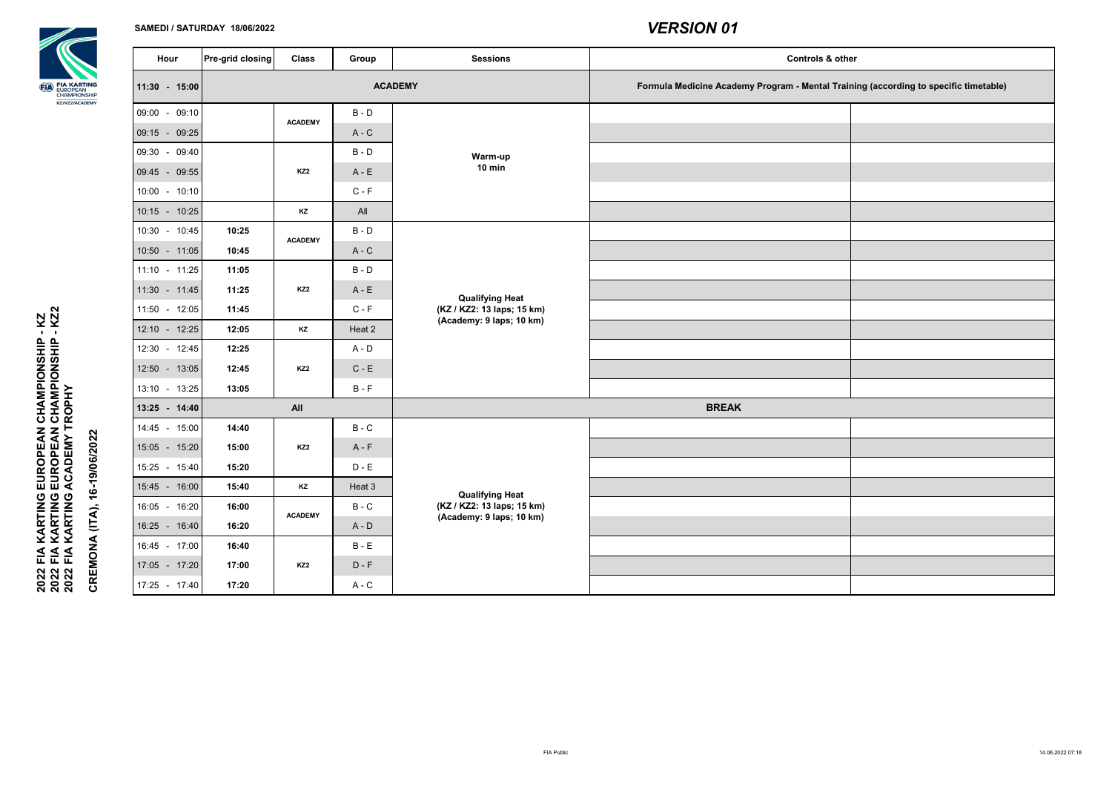

### **SAMEDI / SATURDAY 18/06/2022**

2022 FIA KARTING EUROPEAN CHAMPIONSHIP - KZ<br>2022 FIA KARTING EUROPEAN CHAMPIONSHIP - KZ2<br>2022 FIA KARTING ACADEMY TROPHY **2022 FIA KARTING EUROPEAN CHAMPIONSHIP - KZ2 2022 FIA KARTING EUROPEAN CHAMPIONSHIP - KZ 2022 FIA KARTING ACADEMY TROPHY**

| <b>Sessions</b>                                                                  | <b>Controls &amp; other</b>                                                          |  |  |  |  |
|----------------------------------------------------------------------------------|--------------------------------------------------------------------------------------|--|--|--|--|
| <b>ACADEMY</b>                                                                   | Formula Medicine Academy Program - Mental Training (according to specific timetable) |  |  |  |  |
| <b>Warm-up</b><br><b>10 min</b>                                                  |                                                                                      |  |  |  |  |
| <b>Qualifying Heat</b><br>(KZ / KZ2: 13 laps; 15 km)<br>(Academy: 9 laps; 10 km) |                                                                                      |  |  |  |  |
|                                                                                  | <b>BREAK</b>                                                                         |  |  |  |  |
| <b>Qualifying Heat</b><br>(KZ / KZ2: 13 laps; 15 km)<br>(Academy: 9 laps; 10 km) |                                                                                      |  |  |  |  |

| <b>Sessions</b>                                        | Group          | <b>Class</b>    | $ Pre\text{-}\text{grid closing} $ |                 | Hour |  |
|--------------------------------------------------------|----------------|-----------------|------------------------------------|-----------------|------|--|
|                                                        | <b>ACADEMY</b> |                 |                                    | 11:30 - 15:00   |      |  |
|                                                        | $B - D$        | <b>ACADEMY</b>  |                                    | 09:00 - 09:10   |      |  |
|                                                        | $A - C$        |                 |                                    | 09:15 - 09:25   |      |  |
| <b>Warm-up</b>                                         | $B - D$        |                 |                                    | 09:30 - 09:40   |      |  |
| <b>10 min</b>                                          | $A - E$        | KZ <sub>2</sub> |                                    | 09:45 - 09:55   |      |  |
|                                                        | $C - F$        |                 |                                    | $10:00 - 10:10$ |      |  |
|                                                        | All            | <b>KZ</b>       |                                    | $10:15 - 10:25$ |      |  |
|                                                        | $B - D$        | <b>ACADEMY</b>  | 10:25                              | 10:30 - 10:45   |      |  |
|                                                        | $A - C$        |                 | 10:45                              | 10:50 - 11:05   |      |  |
|                                                        | $B - D$        |                 | 11:05                              | $11:10 - 11:25$ |      |  |
| <b>Qualifying Heat</b>                                 | $A - E$        | KZ <sub>2</sub> | 11:25                              | $11:30 - 11:45$ |      |  |
| (KZ / KZ2: 13 laps; 15 km)<br>(Academy: 9 laps; 10 km) | $C - F$        |                 | 11:45                              | 11:50 - 12:05   |      |  |
|                                                        | Heat 2         | KZ              | 12:05                              | 12:10 - 12:25   |      |  |
|                                                        | $A - D$        |                 | 12:25                              | 12:30 - 12:45   |      |  |
|                                                        | $C - E$        | KZ <sub>2</sub> | 12:45                              | 12:50 - 13:05   |      |  |
|                                                        | $B - F$        |                 | 13:05                              | 13:10 - 13:25   |      |  |
|                                                        |                | <b>All</b>      |                                    | 13:25 - 14:40   |      |  |
|                                                        | $B - C$        |                 | 14:40                              | 14:45 - 15:00   |      |  |
|                                                        | $A - F$        | KZ <sub>2</sub> | 15:00                              | 15:05 - 15:20   |      |  |
|                                                        | $D - E$        |                 | 15:20                              | 15:25 - 15:40   |      |  |
| <b>Qualifying Heat</b>                                 | Heat 3         | KZ              | 15:40                              | 15:45 - 16:00   |      |  |
| (KZ / KZ2: 13 laps; 15 km)<br>(Academy: 9 laps; 10 km) | $B - C$        | <b>ACADEMY</b>  | 16:00                              | 16:05 - 16:20   |      |  |
|                                                        | $A - D$        |                 | 16:20                              | 16:25 - 16:40   |      |  |
|                                                        | $B - E$        |                 | 16:40                              | 16:45 - 17:00   |      |  |
|                                                        | $D - F$        | KZ <sub>2</sub> | 17:00                              | 17:05 - 17:20   |      |  |
|                                                        | $A - C$        |                 | 17:20                              | 17:25 - 17:40   |      |  |

**CREMONA (ITA), 16-19/06/2022**

CREMONA (ITA),

16-19/06/2022

# *VERSION 01*